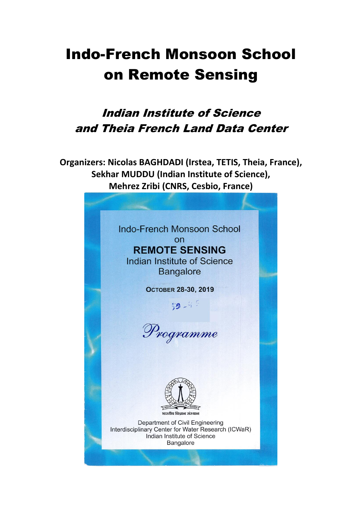## Indo-French Monsoon School on Remote Sensing

## Indian Institute of Science and Theia French Land Data Center

**Organizers: Nicolas BAGHDADI (Irstea, TETIS, Theia, France), Sekhar MUDDU (Indian Institute of Science), Mehrez Zribi (CNRS, Cesbio, France)**

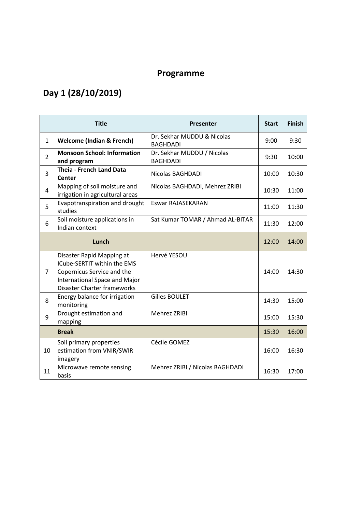## **Programme**

## **Day 1 (28/10/2019)**

|                | <b>Title</b>                                                                                                                                                  | Presenter                                     | <b>Start</b> | <b>Finish</b> |
|----------------|---------------------------------------------------------------------------------------------------------------------------------------------------------------|-----------------------------------------------|--------------|---------------|
| $\mathbf{1}$   | Dr. Sekhar MUDDU & Nicolas<br><b>Welcome (Indian &amp; French)</b><br><b>BAGHDADI</b>                                                                         |                                               | 9:00         | 9:30          |
| $\overline{2}$ | <b>Monsoon School: Information</b><br>and program                                                                                                             | Dr. Sekhar MUDDU / Nicolas<br><b>BAGHDADI</b> |              | 10:00         |
| 3              | <b>Theia - French Land Data</b><br><b>Center</b>                                                                                                              | Nicolas BAGHDADI                              |              | 10:30         |
| $\overline{4}$ | Mapping of soil moisture and<br>irrigation in agricultural areas                                                                                              | Nicolas BAGHDADI, Mehrez ZRIBI                | 10:30        | 11:00         |
| 5              | Evapotranspiration and drought<br>studies                                                                                                                     | Eswar RAJASEKARAN                             | 11:00        | 11:30         |
| 6              | Soil moisture applications in<br>Indian context                                                                                                               | Sat Kumar TOMAR / Ahmad AL-BITAR              | 11:30        | 12:00         |
|                | Lunch                                                                                                                                                         |                                               | 12:00        | 14:00         |
| $\overline{7}$ | Disaster Rapid Mapping at<br>ICube-SERTIT within the EMS<br>Copernicus Service and the<br>International Space and Major<br><b>Disaster Charter frameworks</b> | Hervé YESOU                                   | 14:00        | 14:30         |
| 8              | Energy balance for irrigation<br>monitoring                                                                                                                   | <b>Gilles BOULET</b>                          | 14:30        | 15:00         |
| 9              | Drought estimation and<br>mapping                                                                                                                             | <b>Mehrez ZRIBI</b>                           | 15:00        | 15:30         |
|                | <b>Break</b>                                                                                                                                                  |                                               | 15:30        | 16:00         |
| 10             | Soil primary properties<br>estimation from VNIR/SWIR<br>imagery                                                                                               | Cécile GOMEZ                                  | 16:00        | 16:30         |
| 11             | Microwave remote sensing<br>basis                                                                                                                             | Mehrez ZRIBI / Nicolas BAGHDADI               | 16:30        | 17:00         |